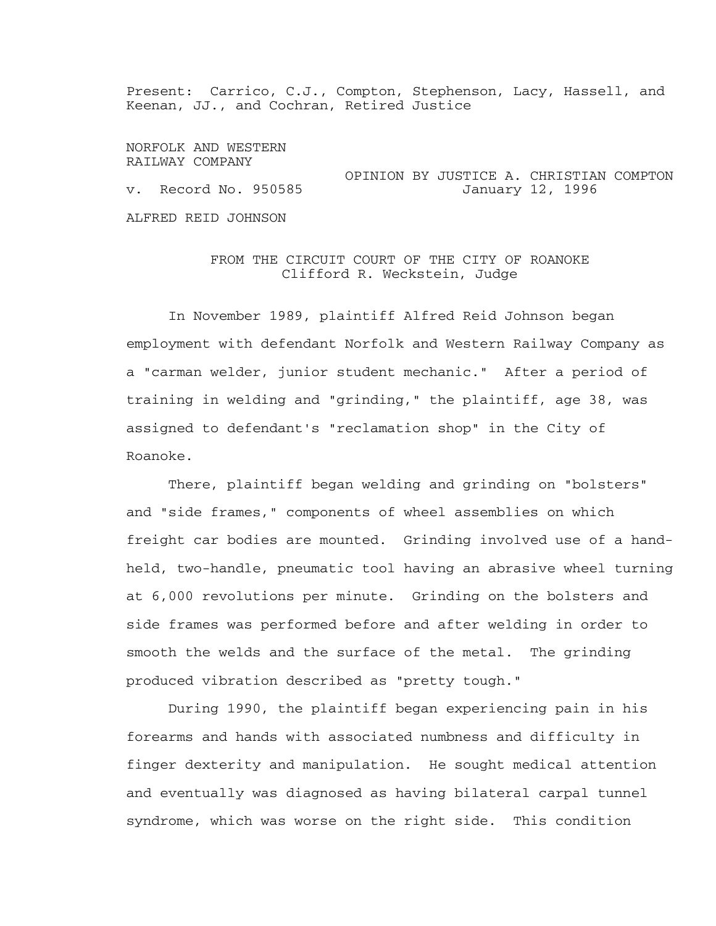Present: Carrico, C.J., Compton, Stephenson, Lacy, Hassell, and Keenan, JJ., and Cochran, Retired Justice

NORFOLK AND WESTERN RAILWAY COMPANY OPINION BY JUSTICE A. CHRISTIAN COMPTON v. Record No. 950585 ALFRED REID JOHNSON

## FROM THE CIRCUIT COURT OF THE CITY OF ROANOKE Clifford R. Weckstein, Judge

 In November 1989, plaintiff Alfred Reid Johnson began employment with defendant Norfolk and Western Railway Company as a "carman welder, junior student mechanic." After a period of training in welding and "grinding," the plaintiff, age 38, was assigned to defendant's "reclamation shop" in the City of Roanoke.

 There, plaintiff began welding and grinding on "bolsters" and "side frames," components of wheel assemblies on which freight car bodies are mounted. Grinding involved use of a handheld, two-handle, pneumatic tool having an abrasive wheel turning at 6,000 revolutions per minute. Grinding on the bolsters and side frames was performed before and after welding in order to smooth the welds and the surface of the metal. The grinding produced vibration described as "pretty tough."

 During 1990, the plaintiff began experiencing pain in his forearms and hands with associated numbness and difficulty in finger dexterity and manipulation. He sought medical attention and eventually was diagnosed as having bilateral carpal tunnel syndrome, which was worse on the right side. This condition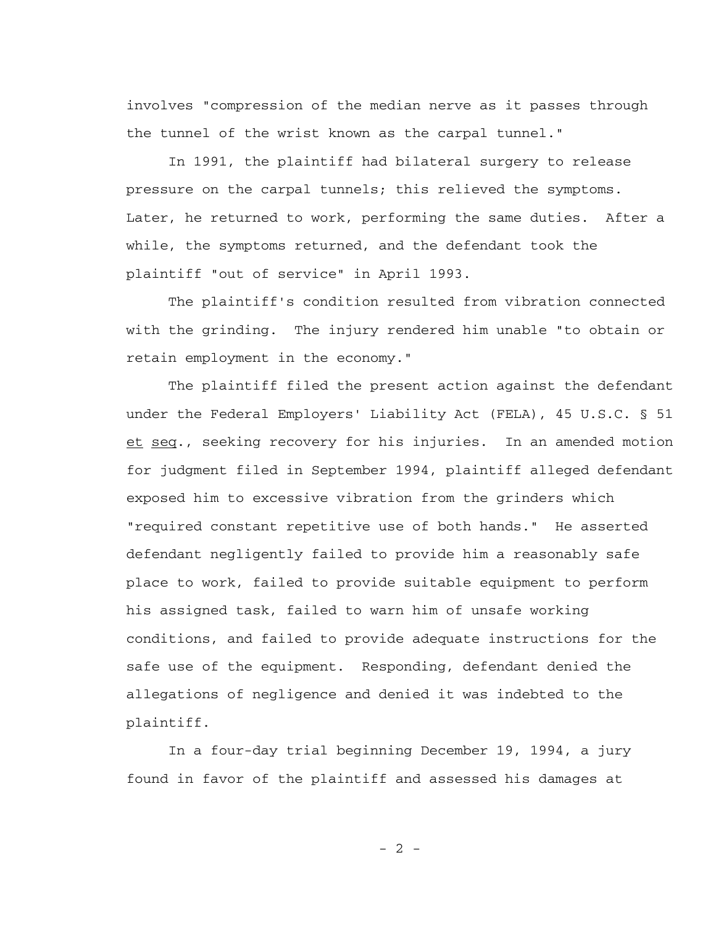involves "compression of the median nerve as it passes through the tunnel of the wrist known as the carpal tunnel."

 In 1991, the plaintiff had bilateral surgery to release pressure on the carpal tunnels; this relieved the symptoms. Later, he returned to work, performing the same duties. After a while, the symptoms returned, and the defendant took the plaintiff "out of service" in April 1993.

 The plaintiff's condition resulted from vibration connected with the grinding. The injury rendered him unable "to obtain or retain employment in the economy."

 The plaintiff filed the present action against the defendant under the Federal Employers' Liability Act (FELA), 45 U.S.C. § 51 et seq., seeking recovery for his injuries. In an amended motion for judgment filed in September 1994, plaintiff alleged defendant exposed him to excessive vibration from the grinders which "required constant repetitive use of both hands." He asserted defendant negligently failed to provide him a reasonably safe place to work, failed to provide suitable equipment to perform his assigned task, failed to warn him of unsafe working conditions, and failed to provide adequate instructions for the safe use of the equipment. Responding, defendant denied the allegations of negligence and denied it was indebted to the plaintiff.

 In a four-day trial beginning December 19, 1994, a jury found in favor of the plaintiff and assessed his damages at

 $- 2 -$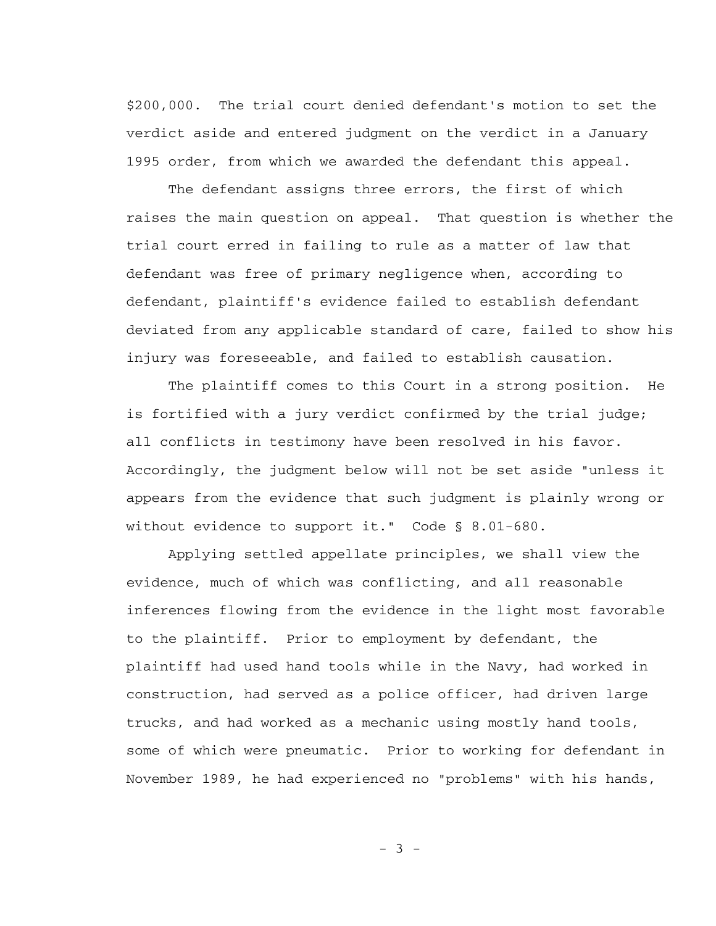\$200,000. The trial court denied defendant's motion to set the verdict aside and entered judgment on the verdict in a January 1995 order, from which we awarded the defendant this appeal.

 The defendant assigns three errors, the first of which raises the main question on appeal. That question is whether the trial court erred in failing to rule as a matter of law that defendant was free of primary negligence when, according to defendant, plaintiff's evidence failed to establish defendant deviated from any applicable standard of care, failed to show his injury was foreseeable, and failed to establish causation.

 The plaintiff comes to this Court in a strong position. He is fortified with a jury verdict confirmed by the trial judge; all conflicts in testimony have been resolved in his favor. Accordingly, the judgment below will not be set aside "unless it appears from the evidence that such judgment is plainly wrong or without evidence to support it." Code § 8.01-680.

 Applying settled appellate principles, we shall view the evidence, much of which was conflicting, and all reasonable inferences flowing from the evidence in the light most favorable to the plaintiff. Prior to employment by defendant, the plaintiff had used hand tools while in the Navy, had worked in construction, had served as a police officer, had driven large trucks, and had worked as a mechanic using mostly hand tools, some of which were pneumatic. Prior to working for defendant in November 1989, he had experienced no "problems" with his hands,

 $- 3 -$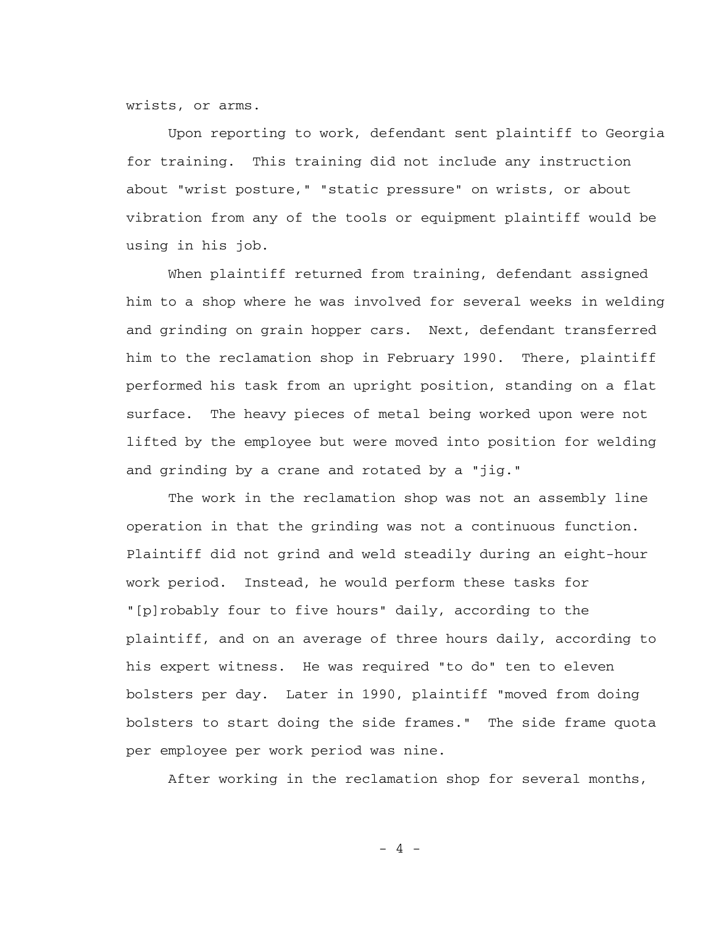wrists, or arms.

 Upon reporting to work, defendant sent plaintiff to Georgia for training. This training did not include any instruction about "wrist posture," "static pressure" on wrists, or about vibration from any of the tools or equipment plaintiff would be using in his job.

 When plaintiff returned from training, defendant assigned him to a shop where he was involved for several weeks in welding and grinding on grain hopper cars. Next, defendant transferred him to the reclamation shop in February 1990. There, plaintiff performed his task from an upright position, standing on a flat surface. The heavy pieces of metal being worked upon were not lifted by the employee but were moved into position for welding and grinding by a crane and rotated by a "jig."

 The work in the reclamation shop was not an assembly line operation in that the grinding was not a continuous function. Plaintiff did not grind and weld steadily during an eight-hour work period. Instead, he would perform these tasks for "[p]robably four to five hours" daily, according to the plaintiff, and on an average of three hours daily, according to his expert witness. He was required "to do" ten to eleven bolsters per day. Later in 1990, plaintiff "moved from doing bolsters to start doing the side frames." The side frame quota per employee per work period was nine.

After working in the reclamation shop for several months,

 $-4 -$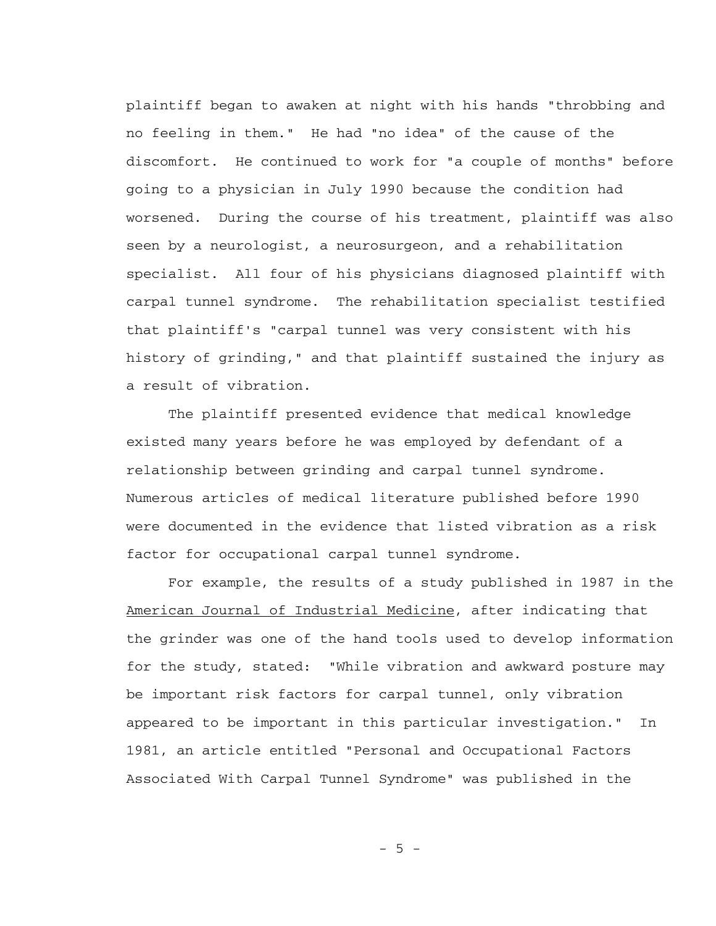plaintiff began to awaken at night with his hands "throbbing and no feeling in them." He had "no idea" of the cause of the discomfort. He continued to work for "a couple of months" before going to a physician in July 1990 because the condition had worsened. During the course of his treatment, plaintiff was also seen by a neurologist, a neurosurgeon, and a rehabilitation specialist. All four of his physicians diagnosed plaintiff with carpal tunnel syndrome. The rehabilitation specialist testified that plaintiff's "carpal tunnel was very consistent with his history of grinding," and that plaintiff sustained the injury as a result of vibration.

 The plaintiff presented evidence that medical knowledge existed many years before he was employed by defendant of a relationship between grinding and carpal tunnel syndrome. Numerous articles of medical literature published before 1990 were documented in the evidence that listed vibration as a risk factor for occupational carpal tunnel syndrome.

 For example, the results of a study published in 1987 in the American Journal of Industrial Medicine, after indicating that the grinder was one of the hand tools used to develop information for the study, stated: "While vibration and awkward posture may be important risk factors for carpal tunnel, only vibration appeared to be important in this particular investigation." In 1981, an article entitled "Personal and Occupational Factors Associated With Carpal Tunnel Syndrome" was published in the

- 5 -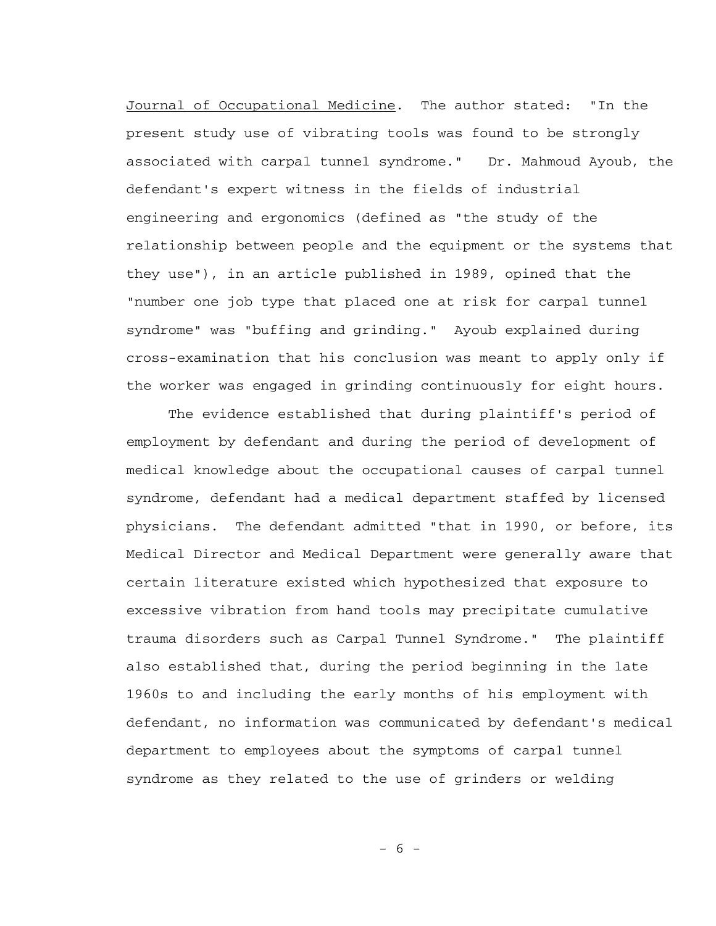Journal of Occupational Medicine. The author stated: "In the present study use of vibrating tools was found to be strongly associated with carpal tunnel syndrome." Dr. Mahmoud Ayoub, the defendant's expert witness in the fields of industrial engineering and ergonomics (defined as "the study of the relationship between people and the equipment or the systems that they use"), in an article published in 1989, opined that the "number one job type that placed one at risk for carpal tunnel syndrome" was "buffing and grinding." Ayoub explained during cross-examination that his conclusion was meant to apply only if the worker was engaged in grinding continuously for eight hours.

 The evidence established that during plaintiff's period of employment by defendant and during the period of development of medical knowledge about the occupational causes of carpal tunnel syndrome, defendant had a medical department staffed by licensed physicians. The defendant admitted "that in 1990, or before, its Medical Director and Medical Department were generally aware that certain literature existed which hypothesized that exposure to excessive vibration from hand tools may precipitate cumulative trauma disorders such as Carpal Tunnel Syndrome." The plaintiff also established that, during the period beginning in the late 1960s to and including the early months of his employment with defendant, no information was communicated by defendant's medical department to employees about the symptoms of carpal tunnel syndrome as they related to the use of grinders or welding

- 6 -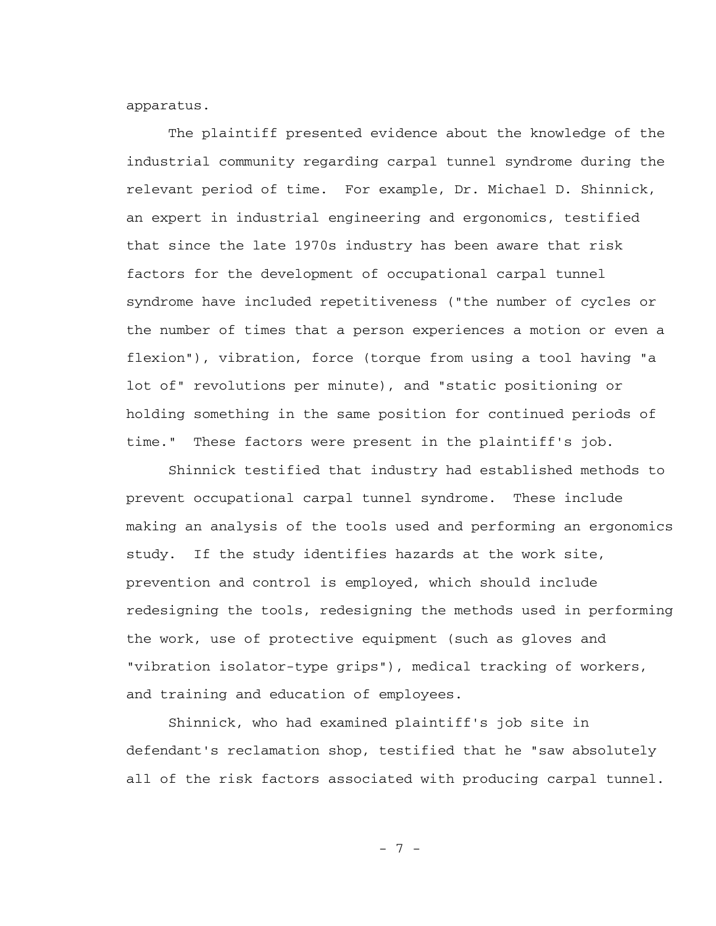apparatus.

 The plaintiff presented evidence about the knowledge of the industrial community regarding carpal tunnel syndrome during the relevant period of time. For example, Dr. Michael D. Shinnick, an expert in industrial engineering and ergonomics, testified that since the late 1970s industry has been aware that risk factors for the development of occupational carpal tunnel syndrome have included repetitiveness ("the number of cycles or the number of times that a person experiences a motion or even a flexion"), vibration, force (torque from using a tool having "a lot of" revolutions per minute), and "static positioning or holding something in the same position for continued periods of time." These factors were present in the plaintiff's job.

 Shinnick testified that industry had established methods to prevent occupational carpal tunnel syndrome. These include making an analysis of the tools used and performing an ergonomics study. If the study identifies hazards at the work site, prevention and control is employed, which should include redesigning the tools, redesigning the methods used in performing the work, use of protective equipment (such as gloves and "vibration isolator-type grips"), medical tracking of workers, and training and education of employees.

 Shinnick, who had examined plaintiff's job site in defendant's reclamation shop, testified that he "saw absolutely all of the risk factors associated with producing carpal tunnel.

- 7 -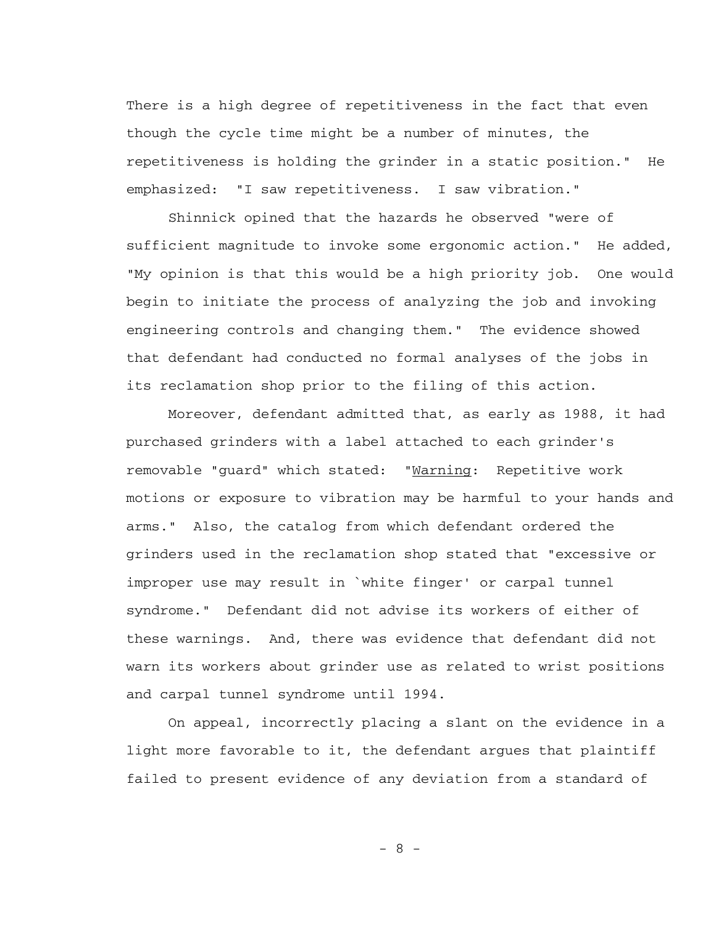There is a high degree of repetitiveness in the fact that even though the cycle time might be a number of minutes, the repetitiveness is holding the grinder in a static position." He emphasized: "I saw repetitiveness. I saw vibration."

 Shinnick opined that the hazards he observed "were of sufficient magnitude to invoke some ergonomic action." He added, "My opinion is that this would be a high priority job. One would begin to initiate the process of analyzing the job and invoking engineering controls and changing them." The evidence showed that defendant had conducted no formal analyses of the jobs in its reclamation shop prior to the filing of this action.

 Moreover, defendant admitted that, as early as 1988, it had purchased grinders with a label attached to each grinder's removable "guard" which stated: "Warning: Repetitive work motions or exposure to vibration may be harmful to your hands and arms." Also, the catalog from which defendant ordered the grinders used in the reclamation shop stated that "excessive or improper use may result in `white finger' or carpal tunnel syndrome." Defendant did not advise its workers of either of these warnings. And, there was evidence that defendant did not warn its workers about grinder use as related to wrist positions and carpal tunnel syndrome until 1994.

 On appeal, incorrectly placing a slant on the evidence in a light more favorable to it, the defendant argues that plaintiff failed to present evidence of any deviation from a standard of

- 8 -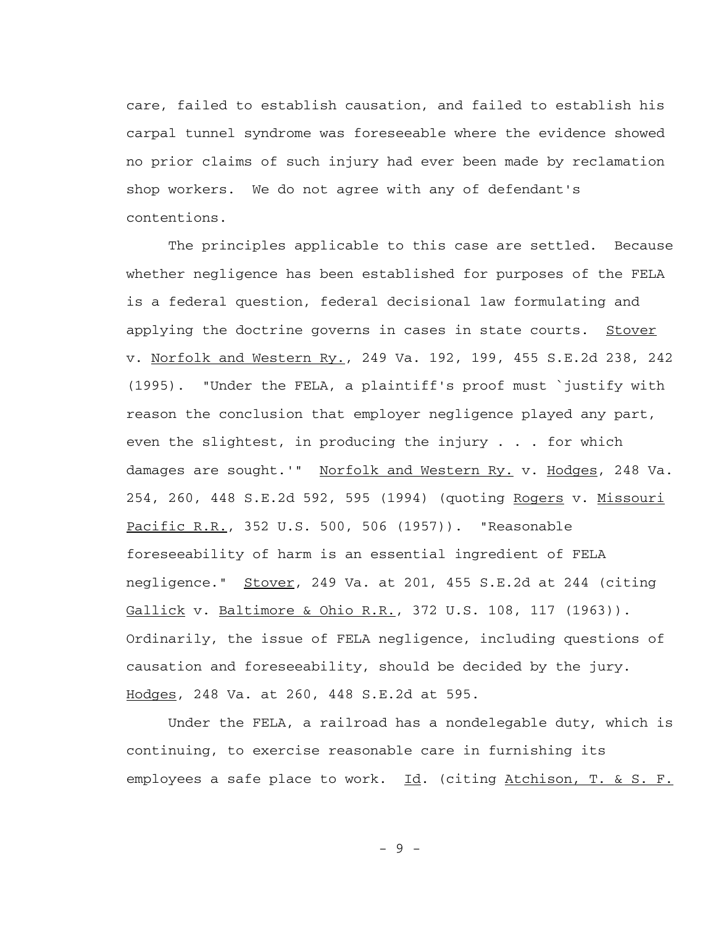care, failed to establish causation, and failed to establish his carpal tunnel syndrome was foreseeable where the evidence showed no prior claims of such injury had ever been made by reclamation shop workers. We do not agree with any of defendant's contentions.

 The principles applicable to this case are settled. Because whether negligence has been established for purposes of the FELA is a federal question, federal decisional law formulating and applying the doctrine governs in cases in state courts. Stover v. Norfolk and Western Ry., 249 Va. 192, 199, 455 S.E.2d 238, 242 (1995). "Under the FELA, a plaintiff's proof must `justify with reason the conclusion that employer negligence played any part, even the slightest, in producing the injury . . . for which damages are sought.'" Norfolk and Western Ry. v. Hodges, 248 Va. 254, 260, 448 S.E.2d 592, 595 (1994) (quoting Rogers v. Missouri Pacific R.R., 352 U.S. 500, 506 (1957)). "Reasonable foreseeability of harm is an essential ingredient of FELA negligence." Stover, 249 Va. at 201, 455 S.E.2d at 244 (citing Gallick v. Baltimore & Ohio R.R., 372 U.S. 108, 117 (1963)). Ordinarily, the issue of FELA negligence, including questions of causation and foreseeability, should be decided by the jury. Hodges, 248 Va. at 260, 448 S.E.2d at 595.

 Under the FELA, a railroad has a nondelegable duty, which is continuing, to exercise reasonable care in furnishing its employees a safe place to work. Id. (citing Atchison, T. & S. F.

- 9 -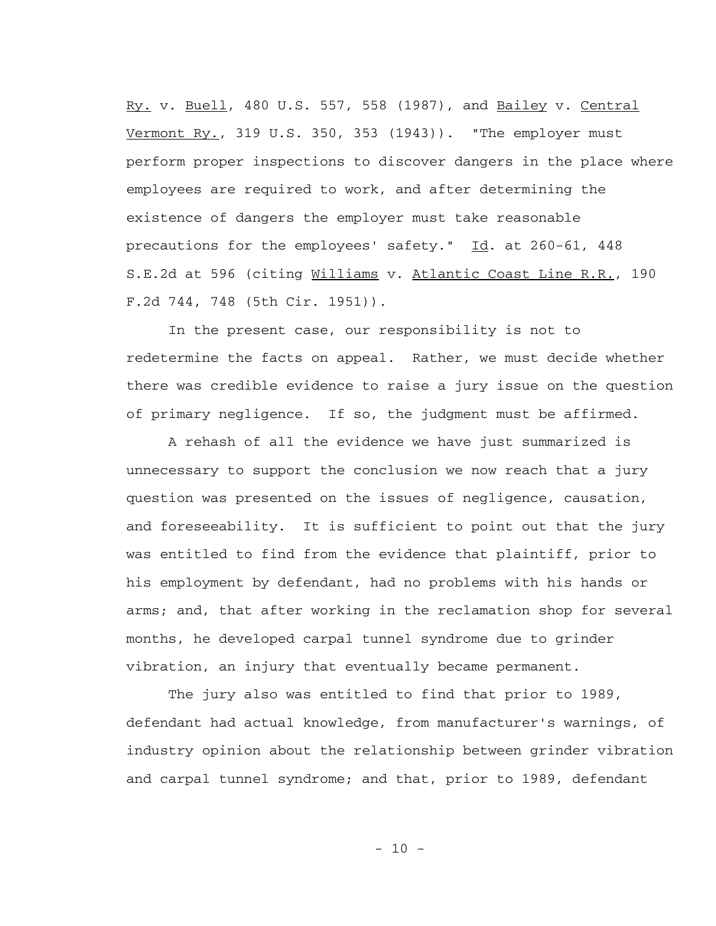Ry. v. Buell, 480 U.S. 557, 558 (1987), and Bailey v. Central Vermont Ry., 319 U.S. 350, 353 (1943)). "The employer must perform proper inspections to discover dangers in the place where employees are required to work, and after determining the existence of dangers the employer must take reasonable precautions for the employees' safety." Id. at 260-61, 448 S.E.2d at 596 (citing Williams v. Atlantic Coast Line R.R., 190 F.2d 744, 748 (5th Cir. 1951)).

 In the present case, our responsibility is not to redetermine the facts on appeal. Rather, we must decide whether there was credible evidence to raise a jury issue on the question of primary negligence. If so, the judgment must be affirmed.

 A rehash of all the evidence we have just summarized is unnecessary to support the conclusion we now reach that a jury question was presented on the issues of negligence, causation, and foreseeability. It is sufficient to point out that the jury was entitled to find from the evidence that plaintiff, prior to his employment by defendant, had no problems with his hands or arms; and, that after working in the reclamation shop for several months, he developed carpal tunnel syndrome due to grinder vibration, an injury that eventually became permanent.

 The jury also was entitled to find that prior to 1989, defendant had actual knowledge, from manufacturer's warnings, of industry opinion about the relationship between grinder vibration and carpal tunnel syndrome; and that, prior to 1989, defendant

- 10 -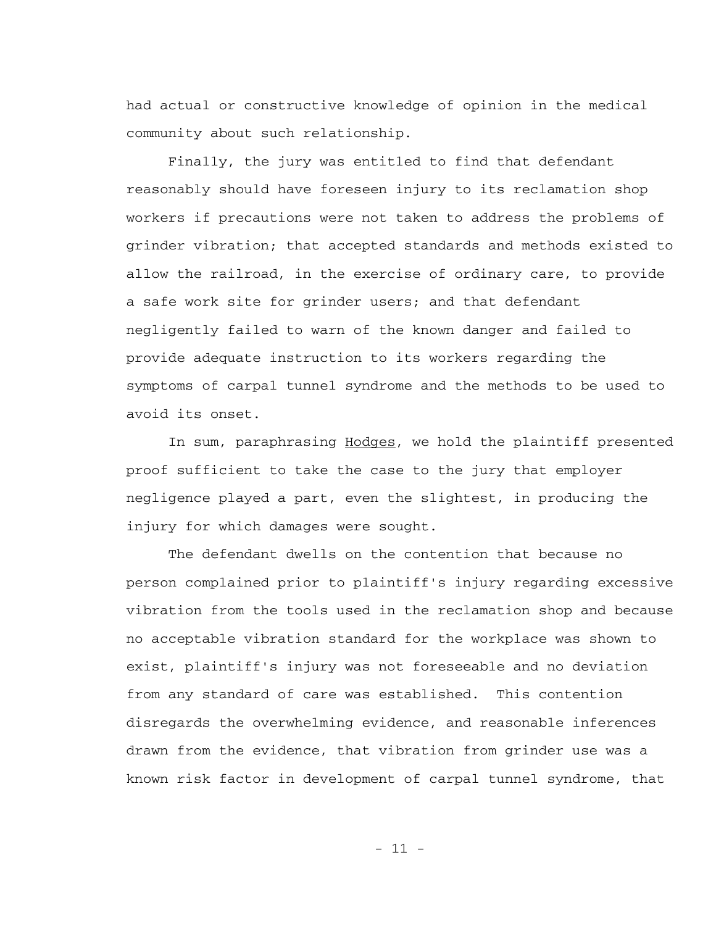had actual or constructive knowledge of opinion in the medical community about such relationship.

 Finally, the jury was entitled to find that defendant reasonably should have foreseen injury to its reclamation shop workers if precautions were not taken to address the problems of grinder vibration; that accepted standards and methods existed to allow the railroad, in the exercise of ordinary care, to provide a safe work site for grinder users; and that defendant negligently failed to warn of the known danger and failed to provide adequate instruction to its workers regarding the symptoms of carpal tunnel syndrome and the methods to be used to avoid its onset.

In sum, paraphrasing Hodges, we hold the plaintiff presented proof sufficient to take the case to the jury that employer negligence played a part, even the slightest, in producing the injury for which damages were sought.

 The defendant dwells on the contention that because no person complained prior to plaintiff's injury regarding excessive vibration from the tools used in the reclamation shop and because no acceptable vibration standard for the workplace was shown to exist, plaintiff's injury was not foreseeable and no deviation from any standard of care was established. This contention disregards the overwhelming evidence, and reasonable inferences drawn from the evidence, that vibration from grinder use was a known risk factor in development of carpal tunnel syndrome, that

 $-11 -$